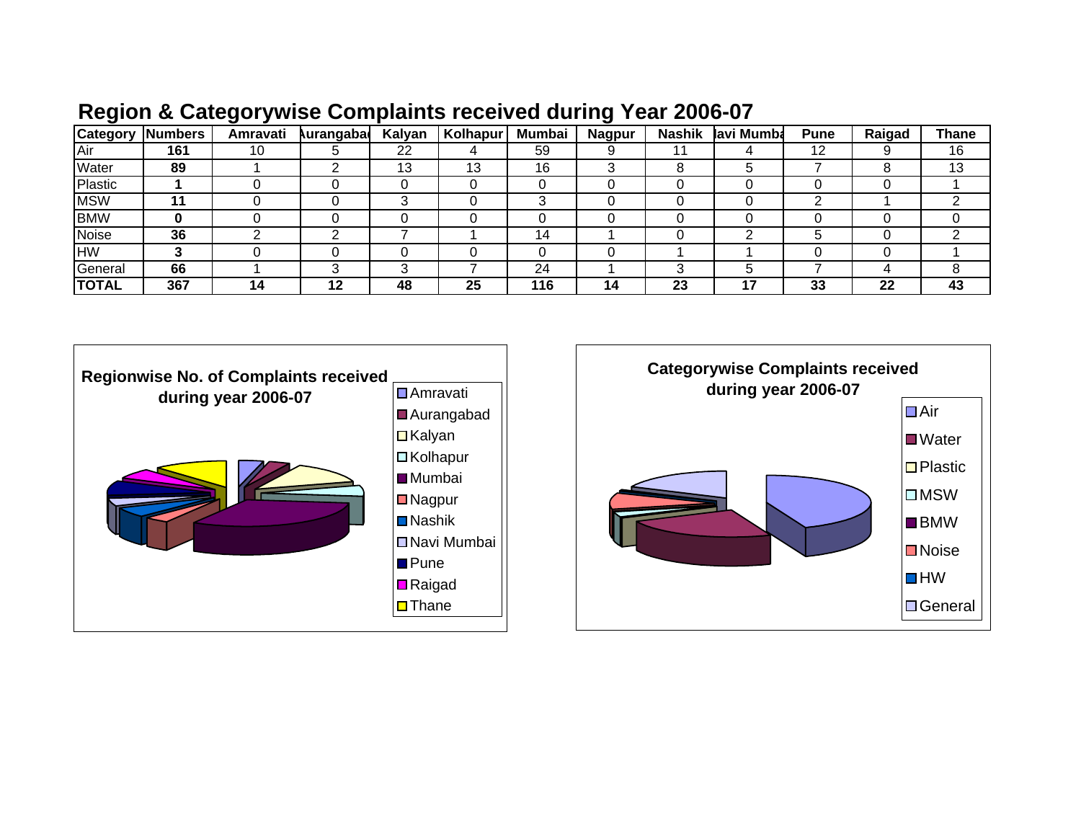| <b>Category</b> | <b>Numbers</b> | Amravati | <b>Aurangaba</b> | Kalyan | Kolhapur | Mumbai | <b>Nagpur</b> | <b>Nashik</b> | lavi Mumba | <b>Pune</b> | Raigad | <b>Thane</b> |
|-----------------|----------------|----------|------------------|--------|----------|--------|---------------|---------------|------------|-------------|--------|--------------|
| Air             | 161            | 10       |                  | 22     |          | 59     |               |               |            | 12          |        | 16           |
| Water           | 89             |          |                  | 13     | 13       | 16     |               | 8             |            |             |        | 13           |
| Plastic         |                |          |                  |        |          |        |               |               |            |             |        |              |
| <b>MSW</b>      | 11             |          |                  |        |          |        |               |               |            |             |        |              |
| <b>BMW</b>      |                |          |                  |        |          |        |               |               |            |             |        |              |
| Noise           | 36             |          |                  |        |          | 14     |               |               |            |             |        |              |
| <b>HW</b>       |                |          |                  |        |          |        |               |               |            |             |        |              |
| General         | 66             |          |                  |        |          | 24     |               |               |            |             |        |              |
| <b>TOTAL</b>    | 367            | 14       | 12               | 48     | 25       | 116    | 14            | 23            | 17         | 33          | 22     | 43           |

## **Region & Categorywise Complaints received during Year 2006-07**